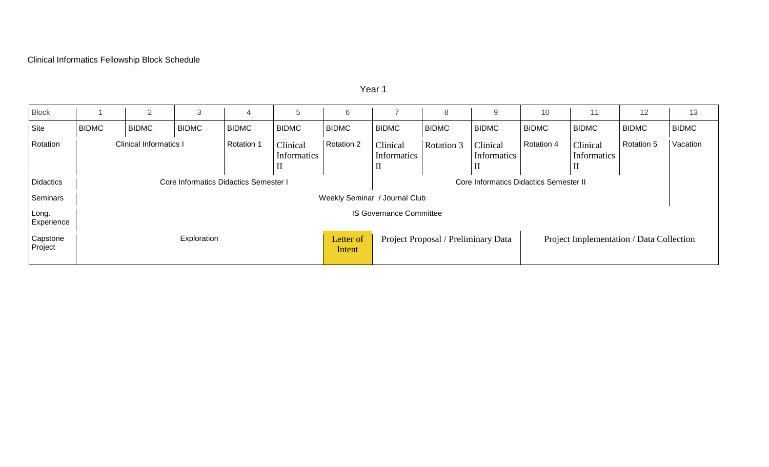## Clinical Informatics Fellowship Block Schedule

| <b>Block</b>        |                                       | $\overline{2}$                | 3            | 4                 | 5                                      | 6                   |                                                                                 | 8                 | 9                       | 10           | 11                                     | 12           | 13           |
|---------------------|---------------------------------------|-------------------------------|--------------|-------------------|----------------------------------------|---------------------|---------------------------------------------------------------------------------|-------------------|-------------------------|--------------|----------------------------------------|--------------|--------------|
| Site                | <b>BIDMC</b>                          | <b>BIDMC</b>                  | <b>BIDMC</b> | <b>BIDMC</b>      | <b>BIDMC</b>                           | <b>BIDMC</b>        | <b>BIDMC</b>                                                                    | <b>BIDMC</b>      | <b>BIDMC</b>            | <b>BIDMC</b> | <b>BIDMC</b>                           | <b>BIDMC</b> | <b>BIDMC</b> |
| Rotation            |                                       | <b>Clinical Informatics I</b> |              | <b>Rotation 1</b> | Clinical<br>Informatics<br>$\rm _{II}$ | Rotation 2          | Clinical<br>Informatics                                                         | <b>Rotation 3</b> | Clinical<br>Informatics | Rotation 4   | Clinical<br>Informatics<br>$_{\rm II}$ | Rotation 5   | Vacation     |
| <b>Didactics</b>    | Core Informatics Didactics Semester I |                               |              |                   |                                        |                     | Core Informatics Didactics Semester II                                          |                   |                         |              |                                        |              |              |
| Seminars            | Weekly Seminar / Journal Club         |                               |              |                   |                                        |                     |                                                                                 |                   |                         |              |                                        |              |              |
| Long.<br>Experience | <b>IS Governance Committee</b>        |                               |              |                   |                                        |                     |                                                                                 |                   |                         |              |                                        |              |              |
| Capstone<br>Project | Exploration                           |                               |              |                   |                                        | Letter of<br>Intent | Project Proposal / Preliminary Data<br>Project Implementation / Data Collection |                   |                         |              |                                        |              |              |

Year 1